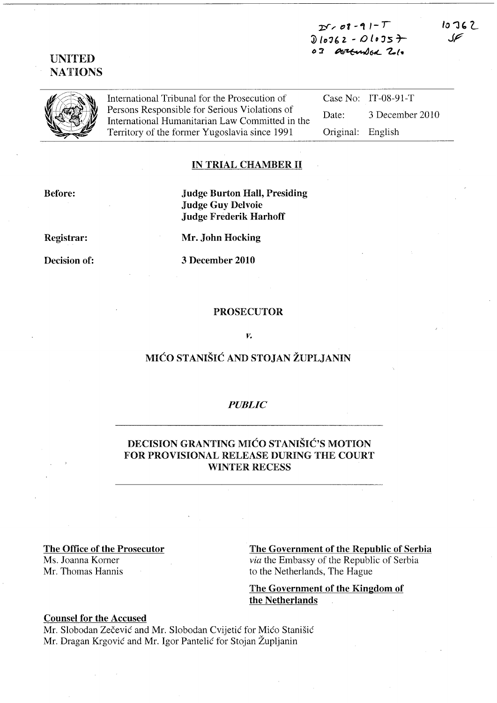$25.08 - 91 - T$ 'JJ 'D'3~ 2. - I.) *ID* 35 *T-*02 Octturaled 21.

 $10767$ 

International Tribunal for the Prosecution of Persons Responsible for Serious Violations of International Humanitarian Law Committed in the Territory of the former Yugoslavia since 1991

Case No: IT-08-91-T Date: 3 December 2010 Original: English

## IN TRIAL CHAMBER II

Before:

Judge Burton Hall, Presiding Judge Guy Delvoie Judge Frederik Harhoff

Registrar:

Decision of:

3 December 2010

#### PROSECUTOR

#### *v.*

# MICO STANISIC AND STOJAN ZUPLJANIN

### *PUBLIC*

# DECISION GRANTING MIĆO STANIŠIĆ'S MOTION FOR PROVISIONAL RELEASE DURING THE COURT WINTER RECESS

#### The Office of the Prosecutor

Ms. Joanna Korner Mr. Thomas Hannis The Government of the Republic of Serbia

*via* the Embassy of the Republic of Serbia to the Netherlands, The Hague

# The Government of the Kingdom of the Netherlands

# Counsel for the Accused

Mr. Slobodan Zečević and Mr. Slobodan Cvijetić for Mićo Stanišić Mr. Dragan Krgovic and Mr. Igor Pantelic for Stojan Zupljanin

# UNITED **NATIONS**

Mr. John Hocking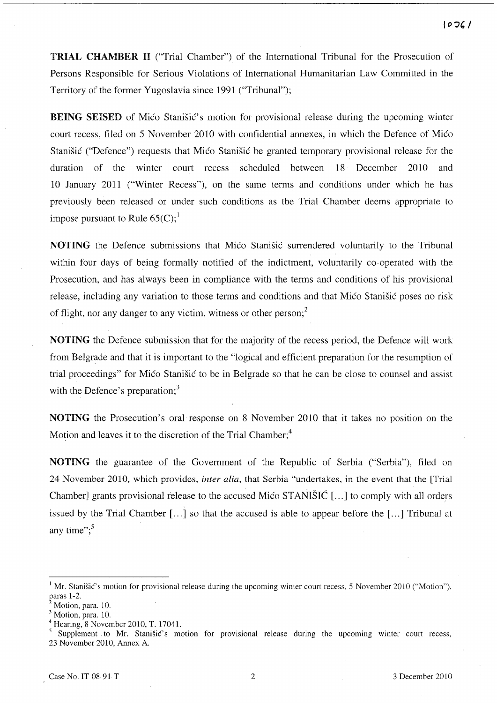**TRIAL CHAMBER II** ("Trial Chamber") of the International Tribunal for the Prosecution of Persons Responsible for Serious Violations of International Humanitarian Law Committed in the Territory of the former Yugoslavia since 1991 ("Tribunal");

**BEING SEISED** of Mico Stanisic's motion for provisional release during the upcoming winter court recess, filed on 5 November 2010 with confidential annexes, in which the Defence of Mico Stanisic ("Defence") requests that Mico Stanisic be granted temporary provisional release for the duration of the winter court recess scheduled between 18 December 2010 and 10 January 2011 ("Winter Recess"), on the same terms and conditions under which he has previously been released or under such conditions as the Trial Chamber deems appropriate to impose pursuant to Rule  $65(C)$ ;<sup>1</sup>

**NOTING** the Defence submissions that Mico Stanisic surrendered voluntarily to the Tribunal within four days of being formally notified of the indictment, voluntarily co-operated with the . Prosecution, and has always been in compliance with the terms and conditions of his provisional release, including any variation to those terms and conditions and that Mico Stanisic poses no risk of flight, nor any danger to any victim, witness or other person; $<sup>2</sup>$ </sup>

**NOTING** the Defence submission that for the majority of the recess period, the Defence will work from Belgrade and that it is important to the "logical and efficient preparation for the resumption of trial proceedings" for Mico Stanisic to be in Belgrade so that he can be close to counsel and assist with the Defence's preparation;<sup>3</sup>

**NOTING** the Prosecution's oral response on 8 November 2010 that it takes no position on the Motion and leaves it to the discretion of the Trial Chamber;<sup>4</sup>

**NOTING** the guarantee of the Government of the Republic of Serbia ("Serbia"), filed on 24 November 2010, which provides, *inter alia,* that Serbia "undertakes, in the event that the [Trial Chamber] grants provisional release to the accused Mico STANISIC [ ... ] to comply with all orders issued by the Trial Chamber [...] so that the accused is able to appear before the [...] Tribunal at any time": $5$ 

<sup>&</sup>lt;sup>1</sup> Mr. Stanišić's motion for provisional release during the upcoming winter court recess, 5 November 2010 ("Motion"), paras 1-2.

Motion, para. 10.

<sup>&</sup>lt;sup>3</sup> Motion, para. 10.

Hearing, 8 November 2010, T. 17041.

Supplement to Mr. Stanisic's motion for provisional release during the upcoming winter court recess, 23 November 2010, Annex A.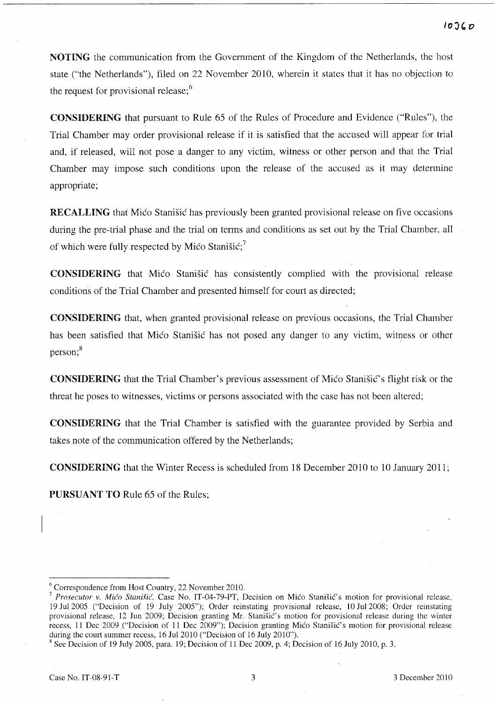NOTING the communication from the Government of the Kingdom of the Netherlands, the host state ("the Netherlands"), filed on 22 November 2010, wherein it states that it has no objection to the request for provisional release;<sup>6</sup>

CONSIDERING that pursuant to Rule 65 of the Rules of Procedure and Evidence ("Rules"), the Trial Chamber may order provisional release if it is satisfied that the accused will appear for trial and, if released, will not pose a danger to any victim, witness or other person and that the Trial Chamber may impose such conditions upon the release of the accused as it may determine appropriate;

RECALLING that Mico Stanisic has previously been granted provisional release on five occasions during the pre-trial phase and the trial on terms and conditions as set out by the Trial Chamber, all of which were fully respected by Mico Stanišić;

**CONSIDERING** that Mico Stanisic has consistently complied with the provisional release conditions of the Trial Chamber and presented himself for court as directed;

CONSIDERING that, when granted provisional release on previous occasions, the Trial Chamber has been satisfied that Mico Stanisic has not posed any danger to any victim, witness or other person;<sup>8</sup>

**CONSIDERING** that the Trial Chamber's previous assessment of Mico Stanistic's flight risk or the threat he poses to witnesses, victims or persons associated with the case has not been altered;

CONSIDERING that the Trial Chamber is satisfied with the guarantee provided by Serbia and takes note of the communication offered by the Netherlands;

CONSIDERING that the Winter Recess is scheduled from 18 December 2010 to 10 January 2011;

PURSUANT TO Rule 65 of the Rules;

<sup>6</sup> Correspondence from Host Country, 22 November 2010.

<sup>&</sup>lt;sup>7</sup> Prosecutor v. Mićo Stanišić, Case No. IT-04-79-PT, Decision on Mićo Stanišić's motion for provisional release, 19 Jul200S ("Decision of 19 July 2005"); Order reinstating provisional release, 10 Jul2008; Order reinstating provisional release, 12 Jun 2009; Decision granting Mr. Stanišić's motion for provisional release during the winter recess, 11 Dec 2009 ("Decision of 11 Dec 2009"); Decision granting Mico Stanišic's motion for provisional release during the court summer recess, 16 Jul 2010 ("Decision of 16 July 2010").

 $8$  See Decision of 19 July 2005, para. 19; Decision of 11 Dec 2009, p. 4; Decision of 16 July 2010, p. 3.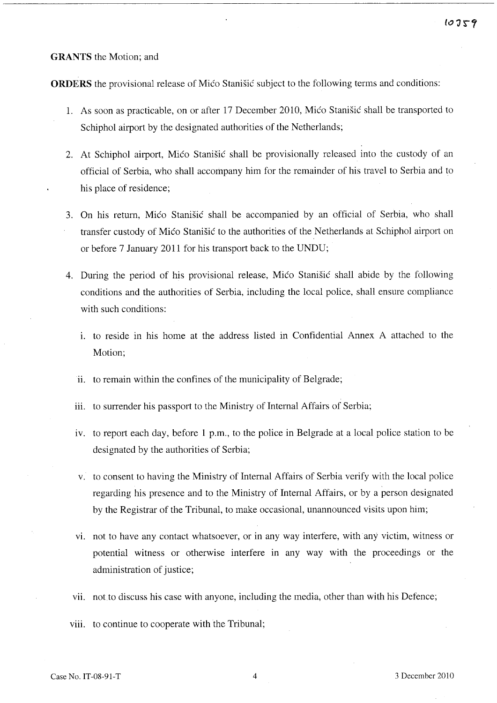## **GRANTS** the Motion; and

**ORDERS** the provisional release of Mico Stanistic subject to the following terms and conditions:

- 1. As soon as practicable, on or after 17 December 2010, Mico Stanisic shall be transported to Schiphol airport by the designated authorities of the Netherlands;
- 2. At Schiphol airport, Mico Stanisic shall be provisionally released into the custody of an official of Serbia, who shall accompany him for the remainder of his travel to Serbia and to his place of residence;
- 3. On his return, Mico Stanisic shall be accompanied by an official of Serbia, who shall transfer custody of Mico Stanisic to the authorities of the Netherlands at Schiphol airport on or before 7 January 2011 for his transport back to the UNDU;
- 4. During the period of his provisional release, Mico Stanisic shall abide by the following conditions and the authorities of Serbia, including the local police, shall ensure compliance with such conditions:
	- 1. to reside in his home at the address listed in Confidential Annex A attached to the Motion;
	- ii. to remain within the confines of the municipality of Belgrade;
	- iii. to surrender his passport to the Ministry of Internal Affairs of Serbia;
	- iv. to report each day, before 1 p.m., to the police in Belgrade at a local police station to be designated by the authorities of Serbia;
	- v. to consent to having the Ministry of Internal Affairs of Serbia verify with the local police regarding his presence and to the Ministry of Internal Affairs, or by a person designated by the Registrar of the Tribunal, to make occasional, unannounced visits upon him;
	- vi. not to have any contact whatsoever, or in any way interfere, with any victim, witness or potential witness or otherwise interfere in any way with the proceedings or the administration of justice;
	- vii. not to discuss his case with anyone, including the media, other than with his Defence;
	- viii. to continue to cooperate with the Tribunal;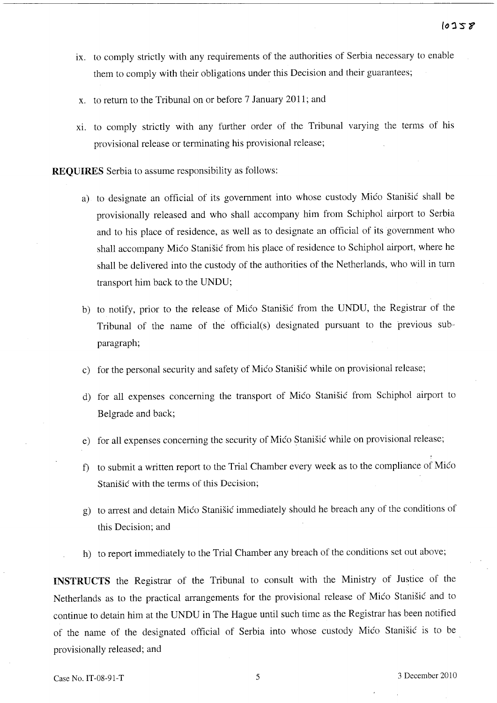- ix. to comply strictly with any requirements of the authorities of Serbia necessary to enable them to comply with their obligations under this Decision and their guarantees;
- X. to return to the Tribunal on or before 7 January 2011; and
- xi. to comply strictly with any further order of the Tribunal varying the terms of his provisional release or terminating his provisional release;

**REQUIRES** Serbia to assume responsibility as follows:

- a) to designate an official of its government into whose custody Mico Stanišic shall be provisionally released and who shall accompany him from Schiphol airport to Serbia and to his place of residence, as well as to designate an official of its government who shall accompany Mico Stanisic from his place of residence to Schiphol airport, where he shall be delivered into the custody of the authorities of the Netherlands, who will in turn transport him back to the UNDU;
- b) to notify, prior to the release of Mico Stanisic from the UNDU, the Registrar of the Tribunal of the name of the official(s) designated pursuant to the previous subparagraph;
- c) for the personal security and safety of Mico Stanisic while on provisional release;
- d) for all expenses concerning the transport of Mico Stanisic from Schiphol airport to Belgrade and back;
- e) for all expenses concerning the security of Mico Stanisic while on provisional release;
- f) to submit a written report to the Trial Chamber every week as to the compliance of Mico Stanisic with the terms of this Decision;
- g) to arrest and detain Mico Stanisic immediately should he breach any of the conditions of this Decision; and
- h) to report immediately to the Trial Chamber any breach of the conditions set out above;

**INSTRUCTS** the Registrar of the Tribunal to consult with the Ministry of Justice of the Netherlands as to the practical arrangements for the provisional release of Mico Stanisic and to continue to detain him at the UNDU in The Hague until such time as the Registrar has been notified of the name of the designated official of Serbia into whose custody Mico Stanisic is to be provisionally released; and